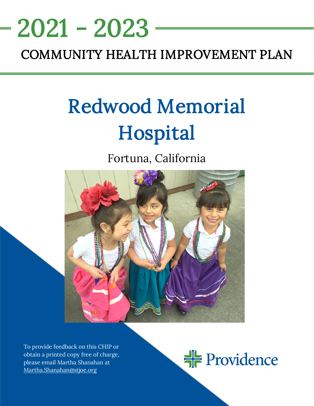## <u>NEEDS ASSESSMENT ASSESSMENT ASSESS</u> COMMUNITY HEALTH IMPROVEMENT PLAN 2021 - 2023

# Redwood Memorial Hospital

Fortuna, California



To provide feedback on this CHIP or obtain a printed copy free of charge, please email Martha Shanahan at [Martha.Shanahan@stjoe.org](mailto:Martha.Shanahan@stjoe.org)

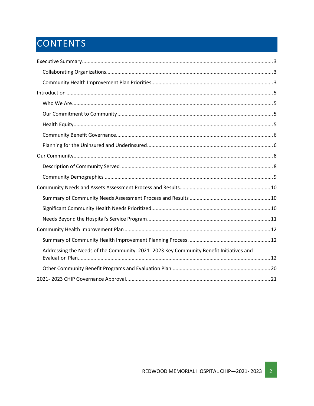## CONTENTS

| Addressing the Needs of the Community: 2021-2023 Key Community Benefit Initiatives and |
|----------------------------------------------------------------------------------------|
|                                                                                        |
|                                                                                        |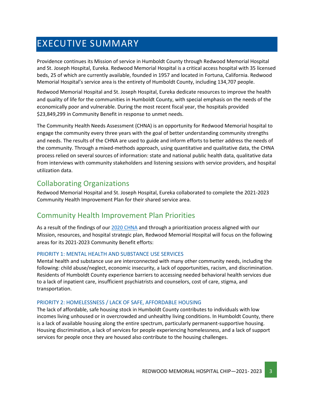## <span id="page-2-0"></span>EXECUTIVE SUMMARY

Providence continues its Mission of service in Humboldt County through Redwood Memorial Hospital and St. Joseph Hospital, Eureka. Redwood Memorial Hospital is a critical access hospital with 35 licensed beds, 25 of which are currently available, founded in 1957 and located in Fortuna, California. Redwood Memorial Hospital's service area is the entirety of Humboldt County, including 134,707 people.

Redwood Memorial Hospital and St. Joseph Hospital, Eureka dedicate resources to improve the health and quality of life for the communities in Humboldt County, with special emphasis on the needs of the economically poor and vulnerable. During the most recent fiscal year, the hospitals provided \$23,849,299 in Community Benefit in response to unmet needs.

The Community Health Needs Assessment (CHNA) is an opportunity for Redwood Memorial hospital to engage the community every three years with the goal of better understanding community strengths and needs. The results of the CHNA are used to guide and inform efforts to better address the needs of the community. Through a mixed-methods approach, using quantitative and qualitative data, the CHNA process relied on several sources of information: state and national public health data, qualitative data from interviews with community stakeholders and listening sessions with service providers, and hospital utilization data.

## <span id="page-2-1"></span>Collaborating Organizations

Redwood Memorial Hospital and St. Joseph Hospital, Eureka collaborated to complete the 2021-2023 Community Health Improvement Plan for their shared service area.

### <span id="page-2-2"></span>Community Health Improvement Plan Priorities

As a result of the findings of our [2020 CHNA](https://www.providence.org/about/annual-report/chna-and-chip-reports) and through a prioritization process aligned with our Mission, resources, and hospital strategic plan, Redwood Memorial Hospital will focus on the following areas for its 2021-2023 Community Benefit efforts:

#### PRIORITY 1: MENTAL HEALTH AND SUBSTANCE USE SERVICES

Mental health and substance use are interconnected with many other community needs, including the following: child abuse/neglect, economic insecurity, a lack of opportunities, racism, and discrimination. Residents of Humboldt County experience barriers to accessing needed behavioral health services due to a lack of inpatient care, insufficient psychiatrists and counselors, cost of care, stigma, and transportation.

#### PRIORITY 2: HOMELESSNESS / LACK OF SAFE, AFFORDABLE HOUSING

The lack of affordable, safe housing stock in Humboldt County contributes to individuals with low incomes living unhoused or in overcrowded and unhealthy living conditions. In Humboldt County, there is a lack of available housing along the entire spectrum, particularly permanent-supportive housing. Housing discrimination, a lack of services for people experiencing homelessness, and a lack of support services for people once they are housed also contribute to the housing challenges.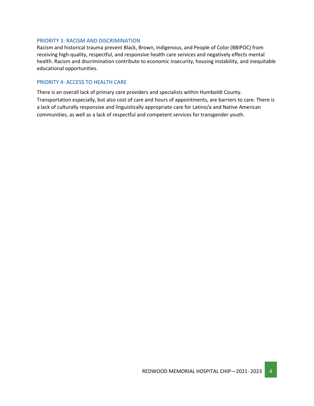#### PRIORITY 3: RACISM AND DISCRIMINATION

Racism and historical trauma prevent Black, Brown, Indigenous, and People of Color (BBIPOC) from receiving high-quality, respectful, and responsive health care services and negatively effects mental health. Racism and discrimination contribute to economic insecurity, housing instability, and inequitable educational opportunities.

#### PRIORITY 4: ACCESS TO HEALTH CARE

There is an overall lack of primary care providers and specialists within Humboldt County. Transportation especially, but also cost of care and hours of appointments, are barriers to care. There is a lack of culturally responsive and linguistically appropriate care for Latino/a and Native American communities, as well as a lack of respectful and competent services for transgender youth.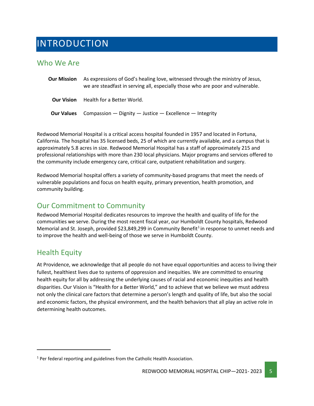## <span id="page-4-0"></span>INTRODUCTION

### <span id="page-4-1"></span>Who We Are

| <b>Our Mission</b> | As expressions of God's healing love, witnessed through the ministry of Jesus,<br>we are steadfast in serving all, especially those who are poor and vulnerable. |
|--------------------|------------------------------------------------------------------------------------------------------------------------------------------------------------------|
| <b>Our Vision</b>  | Health for a Better World.                                                                                                                                       |
| <b>Our Values</b>  | Compassion $-$ Dignity $-$ Justice $-$ Excellence $-$ Integrity                                                                                                  |

Redwood Memorial Hospital is a critical access hospital founded in 1957 and located in Fortuna, California. The hospital has 35 licensed beds, 25 of which are currently available, and a campus that is approximately 5.8 acres in size. Redwood Memorial Hospital has a staff of approximately 215 and professional relationships with more than 230 local physicians. Major programs and services offered to the community include emergency care, critical care, outpatient rehabilitation and surgery.

Redwood Memorial hospital offers a variety of community-based programs that meet the needs of vulnerable populations and focus on health equity, primary prevention, health promotion, and community building.

## <span id="page-4-2"></span>Our Commitment to Community

Redwood Memorial Hospital dedicates resources to improve the health and quality of life for the communities we serve. During the most recent fiscal year, our Humboldt County hospitals, Redwood Memorial and St. Joseph, provided \$23,849,299 in Community Benefit<sup>[1](#page-4-4)</sup> in response to unmet needs and to improve the health and well-being of those we serve in Humboldt County.

### <span id="page-4-3"></span>Health Equity

At Providence, we acknowledge that all people do not have equal opportunities and access to living their fullest, healthiest lives due to systems of oppression and inequities. We are committed to ensuring health equity for all by addressing the underlying causes of racial and economic inequities and health disparities. Our Vision is "Health for a Better World," and to achieve that we believe we must address not only the clinical care factors that determine a person's length and quality of life, but also the social and economic factors, the physical environment, and the health behaviors that all play an active role in determining health outcomes.

<span id="page-4-4"></span> $1$  Per federal reporting and guidelines from the Catholic Health Association.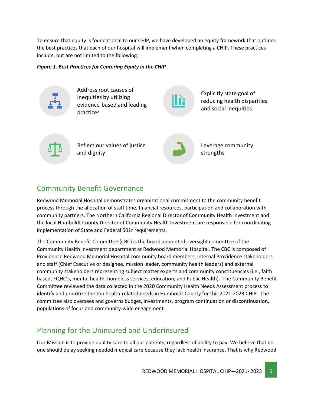To ensure that equity is foundational to our CHIP, we have developed an equity framework that outlines the best practices that each of our hospital will implement when completing a CHIP. These practices include, but are not limited to the following:

#### *Figure 1. Best Practices for Centering Equity in the CHIP*



## <span id="page-5-0"></span>Community Benefit Governance

Redwood Memorial Hospital demonstrates organizational commitment to the community benefit process through the allocation of staff time, financial resources, participation and collaboration with community partners. The Northern California Regional Director of Community Health Investment and the local Humboldt County Director of Community Health Investment are responsible for coordinating implementation of State and Federal 501r requirements.

The Community Benefit Committee (CBC) is the board appointed oversight committee of the Community Health Investment department at Redwood Memorial Hospital. The CBC is composed of Providence Redwood Memorial Hospital community board members, internal Providence stakeholders and staff (Chief Executive or designee, mission leader, community health leaders) and external community stakeholders representing subject matter experts and community constituencies (i.e., faith based, FQHC's, mental health, homeless services, education, and Public Health). The Community Benefit Committee reviewed the data collected in the 2020 Community Health Needs Assessment process to identify and prioritize the top health-related needs in Humboldt County for this 2021-2023 CHIP. The committee also oversees and governs budget, investments, program continuation or discontinuation, populations of focus and community-wide engagement.

## <span id="page-5-1"></span>Planning for the Uninsured and Underinsured

Our Mission is to provide quality care to all our patients, regardless of ability to pay. We believe that no one should delay seeking needed medical care because they lack health insurance. That is why Redwood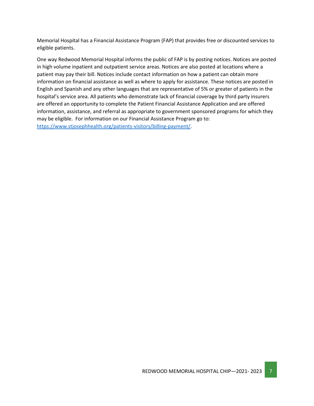Memorial Hospital has a Financial Assistance Program (FAP) that provides free or discounted services to eligible patients.

One way Redwood Memorial Hospital informs the public of FAP is by posting notices. Notices are posted in high volume inpatient and outpatient service areas. Notices are also posted at locations where a patient may pay their bill. Notices include contact information on how a patient can obtain more information on financial assistance as well as where to apply for assistance. These notices are posted in English and Spanish and any other languages that are representative of 5% or greater of patients in the hospital's service area. All patients who demonstrate lack of financial coverage by third party insurers are offered an opportunity to complete the Patient Financial Assistance Application and are offered information, assistance, and referral as appropriate to government sponsored programs for which they may be eligible. For information on our Financial Assistance Program go to: [https://www.stjosephhealth.org/patients-visitors/billing-payment/.](https://www.stjosephhealth.org/patients-visitors/billing-payment/)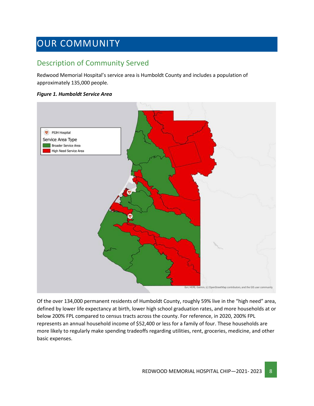## <span id="page-7-0"></span>OUR COMMUNITY

## <span id="page-7-1"></span>Description of Community Served

Redwood Memorial Hospital's service area is Humboldt County and includes a population of approximately 135,000 people.

#### *Figure 1. Humboldt Service Area*



Of the over 134,000 permanent residents of Humboldt County, roughly 59% live in the "high need" area, defined by lower life expectancy at birth, lower high school graduation rates, and more households at or below 200% FPL compared to census tracts across the county. For reference, in 2020, 200% FPL represents an annual household income of \$52,400 or less for a family of four. These households are more likely to regularly make spending tradeoffs regarding utilities, rent, groceries, medicine, and other basic expenses.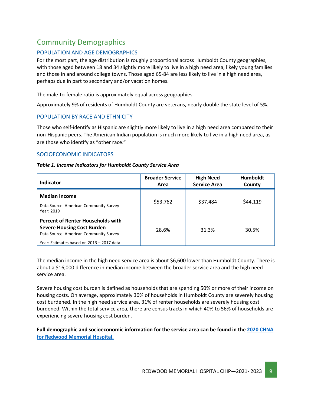## <span id="page-8-0"></span>Community Demographics

#### POPULATION AND AGE DEMOGRAPHICS

For the most part, the age distribution is roughly proportional across Humboldt County geographies, with those aged between 18 and 34 slightly more likely to live in a high need area, likely young families and those in and around college towns. Those aged 65-84 are less likely to live in a high need area, perhaps due in part to secondary and/or vacation homes.

The male-to-female ratio is approximately equal across geographies.

Approximately 9% of residents of Humboldt County are veterans, nearly double the state level of 5%.

#### POPULATION BY RACE AND ETHNICITY

Those who self-identify as Hispanic are slightly more likely to live in a high need area compared to their non-Hispanic peers. The American Indian population is much more likely to live in a high need area, as are those who identify as "other race."

#### SOCIOECONOMIC INDICATORS

#### *Table 1. Income Indicators for Humboldt County Service Area*

| Indicator                                                                                                                                                            | <b>Broader Service</b><br>Area | <b>High Need</b><br><b>Service Area</b> | <b>Humboldt</b><br>County |
|----------------------------------------------------------------------------------------------------------------------------------------------------------------------|--------------------------------|-----------------------------------------|---------------------------|
| <b>Median Income</b><br>Data Source: American Community Survey<br>Year: 2019                                                                                         | \$53,762                       | \$37,484                                | \$44,119                  |
| <b>Percent of Renter Households with</b><br><b>Severe Housing Cost Burden</b><br>Data Source: American Community Survey<br>Year: Estimates based on 2013 - 2017 data | 28.6%                          | 31.3%                                   | 30.5%                     |

The median income in the high need service area is about \$6,600 lower than Humboldt County. There is about a \$16,000 difference in median income between the broader service area and the high need service area.

Severe housing cost burden is defined as households that are spending 50% or more of their income on housing costs. On average, approximately 30% of households in Humboldt County are severely housing cost burdened. In the high need service area, 31% of renter households are severely housing cost burdened. Within the total service area, there are census tracts in which 40% to 56% of households are experiencing severe housing cost burden.

**Full demographic and socioeconomic information for the service area can be found in th[e 2020 CHNA](https://www.providence.org/about/annual-report/chna-and-chip-reports) [for Redwood Memorial Hospital.](https://www.providence.org/about/annual-report/chna-and-chip-reports)**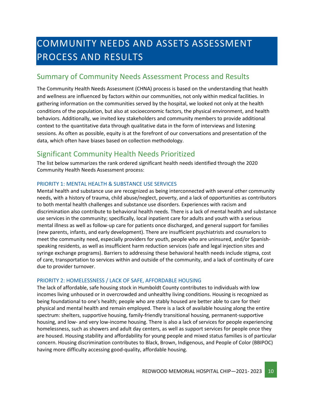## <span id="page-9-0"></span>COMMUNITY NEEDS AND ASSETS ASSESSMENT PROCESS AND RESULTS

### <span id="page-9-1"></span>Summary of Community Needs Assessment Process and Results

The Community Health Needs Assessment (CHNA) process is based on the understanding that health and wellness are influenced by factors within our communities, not only within medical facilities. In gathering information on the communities served by the hospital, we looked not only at the health conditions of the population, but also at socioeconomic factors, the physical environment, and health behaviors. Additionally, we invited key stakeholders and community members to provide additional context to the quantitative data through qualitative data in the form of interviews and listening sessions. As often as possible, equity is at the forefront of our conversations and presentation of the data, which often have biases based on collection methodology.

### <span id="page-9-2"></span>Significant Community Health Needs Prioritized

The list below summarizes the rank ordered significant health needs identified through the 2020 Community Health Needs Assessment process:

#### PRIORITY 1: MENTAL HEALTH & SUBSTANCE USE SERVICES

Mental health and substance use are recognized as being interconnected with several other community needs, with a history of trauma, child abuse/neglect, poverty, and a lack of opportunities as contributors to both mental health challenges and substance use disorders. Experiences with racism and discrimination also contribute to behavioral health needs. There is a lack of mental health and substance use services in the community; specifically, local inpatient care for adults and youth with a serious mental illness as well as follow-up care for patients once discharged, and general support for families (new parents, infants, and early development). There are insufficient psychiatrists and counselors to meet the community need, especially providers for youth, people who are uninsured, and/or Spanishspeaking residents, as well as insufficient harm reduction services (safe and legal injection sites and syringe exchange programs). Barriers to addressing these behavioral health needs include stigma, cost of care, transportation to services within and outside of the community, and a lack of continuity of care due to provider turnover.

#### PRIORITY 2: HOMELESSNESS / LACK OF SAFE, AFFORDABLE HOUSING

The lack of affordable, safe housing stock in Humboldt County contributes to individuals with low incomes living unhoused or in overcrowded and unhealthy living conditions. Housing is recognized as being foundational to one's health; people who are stably housed are better able to care for their physical and mental health and remain employed. There is a lack of available housing along the entire spectrum: shelters, supportive housing, family-friendly transitional housing, permanent-supportive housing, and low- and very low-income housing. There is also a lack of services for people experiencing homelessness, such as showers and adult day centers, as well as support services for people once they are housed. Housing stability and affordability for young people and mixed status families is of particular concern. Housing discrimination contributes to Black, Brown, Indigenous, and People of Color (BBIPOC) having more difficulty accessing good-quality, affordable housing.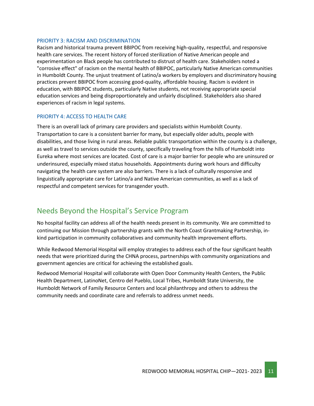#### PRIORITY 3: RACISM AND DISCRIMINATION

Racism and historical trauma prevent BBIPOC from receiving high-quality, respectful, and responsive health care services. The recent history of forced sterilization of Native American people and experimentation on Black people has contributed to distrust of health care. Stakeholders noted a "corrosive effect" of racism on the mental health of BBIPOC, particularly Native American communities in Humboldt County. The unjust treatment of Latino/a workers by employers and discriminatory housing practices prevent BBIPOC from accessing good-quality, affordable housing. Racism is evident in education, with BBIPOC students, particularly Native students, not receiving appropriate special education services and being disproportionately and unfairly disciplined. Stakeholders also shared experiences of racism in legal systems.

#### PRIORITY 4: ACCESS TO HEALTH CARE

There is an overall lack of primary care providers and specialists within Humboldt County. Transportation to care is a consistent barrier for many, but especially older adults, people with disabilities, and those living in rural areas. Reliable public transportation within the county is a challenge, as well as travel to services outside the county, specifically traveling from the hills of Humboldt into Eureka where most services are located. Cost of care is a major barrier for people who are uninsured or underinsured, especially mixed status households. Appointments during work hours and difficulty navigating the health care system are also barriers. There is a lack of culturally responsive and linguistically appropriate care for Latino/a and Native American communities, as well as a lack of respectful and competent services for transgender youth.

### <span id="page-10-0"></span>Needs Beyond the Hospital's Service Program

No hospital facility can address all of the health needs present in its community. We are committed to continuing our Mission through partnership grants with the North Coast Grantmaking Partnership, inkind participation in community collaboratives and community health improvement efforts.

While Redwood Memorial Hospital will employ strategies to address each of the four significant health needs that were prioritized during the CHNA process, partnerships with community organizations and government agencies are critical for achieving the established goals.

Redwood Memorial Hospital will collaborate with Open Door Community Health Centers, the Public Health Department, LatinoNet, Centro del Pueblo, Local Tribes, Humboldt State University, the Humboldt Network of Family Resource Centers and local philanthropy and others to address the community needs and coordinate care and referrals to address unmet needs.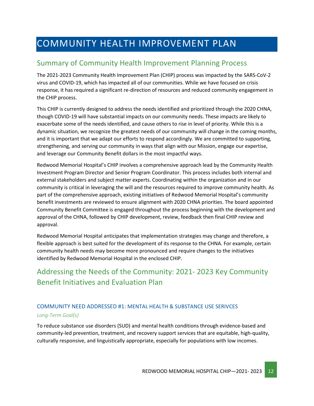## <span id="page-11-0"></span>COMMUNITY HEALTH IMPROVEMENT PLAN

### <span id="page-11-1"></span>Summary of Community Health Improvement Planning Process

The 2021-2023 Community Health Improvement Plan (CHIP) process was impacted by the SARS-CoV-2 virus and COVID-19, which has impacted all of our communities. While we have focused on crisis response, it has required a significant re-direction of resources and reduced community engagement in the CHIP process.

This CHIP is currently designed to address the needs identified and prioritized through the 2020 CHNA, though COVID-19 will have substantial impacts on our community needs. These impacts are likely to exacerbate some of the needs identified, and cause others to rise in level of priority. While this is a dynamic situation, we recognize the greatest needs of our community will change in the coming months, and it is important that we adapt our efforts to respond accordingly. We are committed to supporting, strengthening, and serving our community in ways that align with our Mission, engage our expertise, and leverage our Community Benefit dollars in the most impactful ways.

Redwood Memorial Hospital's CHIP involves a comprehensive approach lead by the Community Health Investment Program Director and Senior Program Coordinator. This process includes both internal and external stakeholders and subject matter experts. Coordinating within the organization and in our community is critical in leveraging the will and the resources required to improve community health. As part of the comprehensive approach, existing initiatives of Redwood Memorial Hospital's community benefit investments are reviewed to ensure alignment with 2020 CHNA priorities. The board appointed Community Benefit Committee is engaged throughout the process beginning with the development and approval of the CHNA, followed by CHIP development, review, feedback then final CHIP review and approval.

Redwood Memorial Hospital anticipates that implementation strategies may change and therefore, a flexible approach is best suited for the development of its response to the CHNA. For example, certain community health needs may become more pronounced and require changes to the initiatives identified by Redwood Memorial Hospital in the enclosed CHIP.

## <span id="page-11-2"></span>Addressing the Needs of the Community: 2021- 2023 Key Community Benefit Initiatives and Evaluation Plan

#### COMMUNITY NEED ADDRESSED #1: MENTAL HEALTH & SUBSTANCE USE SERIVCES *Long-Term Goal(s)*

To reduce substance use disorders (SUD) and mental health conditions through evidence-based and community-led prevention, treatment, and recovery support services that are equitable, high-quality, culturally responsive, and linguistically appropriate, especially for populations with low incomes.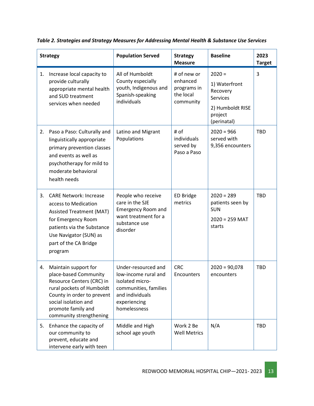| <b>Strategy</b> |                                                                                                                                                                                                                | <b>Population Served</b>                                                                                                                   | <b>Strategy</b><br><b>Measure</b>                                | <b>Baseline</b>                                                                                        | 2023<br><b>Target</b> |
|-----------------|----------------------------------------------------------------------------------------------------------------------------------------------------------------------------------------------------------------|--------------------------------------------------------------------------------------------------------------------------------------------|------------------------------------------------------------------|--------------------------------------------------------------------------------------------------------|-----------------------|
| 1.              | Increase local capacity to<br>provide culturally<br>appropriate mental health<br>and SUD treatment<br>services when needed                                                                                     | All of Humboldt<br>County especially<br>youth, Indigenous and<br>Spanish-speaking<br>individuals                                           | # of new or<br>enhanced<br>programs in<br>the local<br>community | $2020 =$<br>1) Waterfront<br>Recovery<br><b>Services</b><br>2) Humboldt RISE<br>project<br>(perinatal) | 3                     |
| 2.              | Paso a Paso: Culturally and<br>linguistically appropriate<br>primary prevention classes<br>and events as well as<br>psychotherapy for mild to<br>moderate behavioral<br>health needs                           | Latino and Migrant<br>Populations                                                                                                          | # of<br>individuals<br>served by<br>Paso a Paso                  | $2020 = 966$<br>served with<br>9,356 encounters                                                        | <b>TBD</b>            |
| 3.              | <b>CARE Network: Increase</b><br>access to Medication<br><b>Assisted Treatment (MAT)</b><br>for Emergency Room<br>patients via the Substance<br>Use Navigator (SUN) as<br>part of the CA Bridge<br>program     | People who receive<br>care in the SJE<br><b>Emergency Room and</b><br>want treatment for a<br>substance use<br>disorder                    | <b>ED Bridge</b><br>metrics                                      | $2020 = 289$<br>patients seen by<br><b>SUN</b><br>$2020 = 259$ MAT<br>starts                           | <b>TBD</b>            |
| 4.              | Maintain support for<br>place-based Community<br>Resource Centers (CRC) in<br>rural pockets of Humboldt<br>County in order to prevent<br>social isolation and<br>promote family and<br>community strengthening | Under-resourced and<br>low-income rural and<br>isolated micro-<br>communities, families<br>and individuals<br>experiencing<br>homelessness | <b>CRC</b><br>Encounters                                         | $2020 = 90,078$<br>encounters                                                                          | <b>TBD</b>            |
| 5.              | Enhance the capacity of<br>our community to<br>prevent, educate and<br>intervene early with teen                                                                                                               | Middle and High<br>school age youth                                                                                                        | Work 2 Be<br><b>Well Metrics</b>                                 | N/A                                                                                                    | <b>TBD</b>            |

*Table 2. Strategies and Strategy Measures for Addressing Mental Health & Substance Use Services*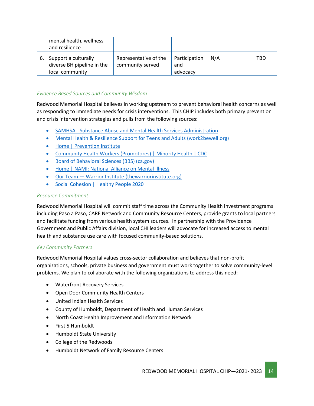|    | mental health, wellness<br>and resilience                             |                                           |                                  |     |     |
|----|-----------------------------------------------------------------------|-------------------------------------------|----------------------------------|-----|-----|
| 6. | Support a culturally<br>diverse BH pipeline in the<br>local community | Representative of the<br>community served | Participation<br>and<br>advocacy | N/A | TBD |

#### *Evidence Based Sources and Community Wisdom*

Redwood Memorial Hospital believes in working upstream to prevent behavioral health concerns as well as responding to immediate needs for crisis interventions. This CHIP includes both primary prevention and crisis intervention strategies and pulls from the following sources:

- SAMHSA [Substance Abuse and Mental Health Services Administration](https://www.samhsa.gov/)
- [Mental Health & Resilience Support for Teens and Adults \(work2bewell.org\)](https://work2bewell.org/)
- [Home | Prevention Institute](https://www.preventioninstitute.org/)
- [Community Health Workers \(Promotores\) | Minority Health | CDC](https://www.cdc.gov/minorityhealth/promotores/index.html)
- [Board of Behavioral Sciences \(BBS\) \(ca.gov\)](https://www.bbs.ca.gov/)
- [Home | NAMI: National Alliance on Mental Illness](https://www.nami.org/Home)
- Our Team [Warrior Institute \(thewarriorinstitute.org\)](http://www.thewarriorinstitute.org/our-team)
- [Social Cohesion | Healthy People 2020](https://www.healthypeople.gov/2020/topics-objectives/topic/social-determinants-health/interventions-resources/social-cohesion)

#### *Resource Commitment*

Redwood Memorial Hospital will commit staff time across the Community Health Investment programs including Paso a Paso, CARE Network and Community Resource Centers, provide grants to local partners and facilitate funding from various health system sources. In partnership with the Providence Government and Public Affairs division, local CHI leaders will advocate for increased access to mental health and substance use care with focused community-based solutions.

#### *Key Community Partners*

Redwood Memorial Hospital values cross-sector collaboration and believes that non-profit organizations, schools, private business and government must work together to solve community-level problems. We plan to collaborate with the following organizations to address this need:

- Waterfront Recovery Services
- Open Door Community Health Centers
- United Indian Health Services
- County of Humboldt, Department of Health and Human Services
- North Coast Health Improvement and Information Network
- First 5 Humboldt
- Humboldt State University
- College of the Redwoods
- Humboldt Network of Family Resource Centers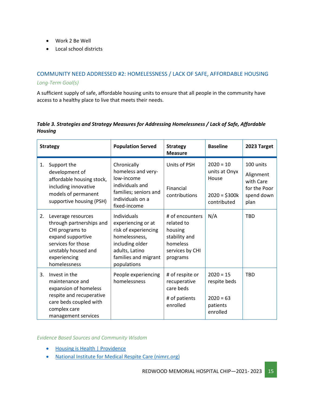- Work 2 Be Well
- Local school districts

#### COMMUNITY NEED ADDRESSED #2: HOMELESSNESS / LACK OF SAFE, AFFORDABLE HOUSING *Long-Term Goal(s)*

A sufficient supply of safe, affordable housing units to ensure that all people in the community have access to a healthy place to live that meets their needs.

#### *Table 3. Strategies and Strategy Measures for Addressing Homelessness / Lack of Safe, Affordable Housing*

| <b>Strategy</b> |                                                                                                                                                                     | <b>Population Served</b>                                                                                                                               | <b>Strategy</b><br><b>Measure</b>                                                                    | <b>Baseline</b>                                                        | 2023 Target                                                               |
|-----------------|---------------------------------------------------------------------------------------------------------------------------------------------------------------------|--------------------------------------------------------------------------------------------------------------------------------------------------------|------------------------------------------------------------------------------------------------------|------------------------------------------------------------------------|---------------------------------------------------------------------------|
| 1.              | Support the<br>development of<br>affordable housing stock,<br>including innovative<br>models of permanent<br>supportive housing (PSH)                               | Chronically<br>homeless and very-<br>low-income<br>individuals and<br>families; seniors and<br>individuals on a<br>fixed-income                        | Units of PSH<br>Financial<br>contributions                                                           | $2020 = 10$<br>units at Onyx<br>House<br>$2020 = $300k$<br>contributed | 100 units<br>Alignment<br>with Care<br>for the Poor<br>spend down<br>plan |
| 2.              | Leverage resources<br>through partnerships and<br>CHI programs to<br>expand supportive<br>services for those<br>unstably housed and<br>experiencing<br>homelessness | Individuals<br>experiencing or at<br>risk of experiencing<br>homelessness,<br>including older<br>adults, Latino<br>families and migrant<br>populations | # of encounters<br>related to<br>housing<br>stability and<br>homeless<br>services by CHI<br>programs | N/A                                                                    | <b>TBD</b>                                                                |
| 3.              | Invest in the<br>maintenance and<br>expansion of homeless<br>respite and recuperative<br>care beds coupled with<br>complex care<br>management services              | People experiencing<br>homelessness                                                                                                                    | # of respite or<br>recuperative<br>care beds<br># of patients<br>enrolled                            | $2020 = 15$<br>respite beds<br>$2020 = 63$<br>patients<br>enrolled     | <b>TBD</b>                                                                |

*Evidence Based Sources and Community Wisdom*

- [Housing is Health | Providence](https://www.providence.org/lp/housing-is-health)
- [National Institute for Medical Respite Care \(nimrc.org\)](https://nimrc.org/)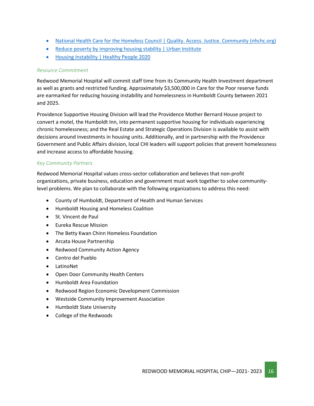- [National Health Care for the Homeless Council | Quality. Access. Justice. Community \(nhchc.org\)](https://nhchc.org/)
- [Reduce poverty by improving housing stability | Urban Institute](https://www.urban.org/urban-wire/reduce-poverty-improving-housing-stability)
- [Housing Instability | Healthy People 2020](https://www.healthypeople.gov/2020/topics-objectives/topic/social-determinants-health/interventions-resources/housing-instability)

#### *Resource Commitment*

Redwood Memorial Hospital will commit staff time from its Community Health Investment department as well as grants and restricted funding. Approximately \$3,500,000 in Care for the Poor reserve funds are earmarked for reducing housing instability and homelessness in Humboldt County between 2021 and 2025.

Providence Supportive Housing Division will lead the Providence Mother Bernard House project to convert a motel, the Humboldt Inn, into permanent supportive housing for individuals experiencing chronic homelessness; and the Real Estate and Strategic Operations Division is available to assist with decisions around investments in housing units. Additionally, and in partnership with the Providence Government and Public Affairs division, local CHI leaders will support policies that prevent homelessness and increase access to affordable housing.

#### *Key Community Partners*

Redwood Memorial Hospital values cross-sector collaboration and believes that non-profit organizations, private business, education and government must work together to solve communitylevel problems. We plan to collaborate with the following organizations to address this need:

- County of Humboldt, Department of Health and Human Services
- Humboldt Housing and Homeless Coalition
- St. Vincent de Paul
- Eureka Rescue Mission
- The Betty Kwan Chinn Homeless Foundation
- Arcata House Partnership
- Redwood Community Action Agency
- Centro del Pueblo
- LatinoNet
- Open Door Community Health Centers
- Humboldt Area Foundation
- Redwood Region Economic Development Commission
- Westside Community Improvement Association
- Humboldt State University
- College of the Redwoods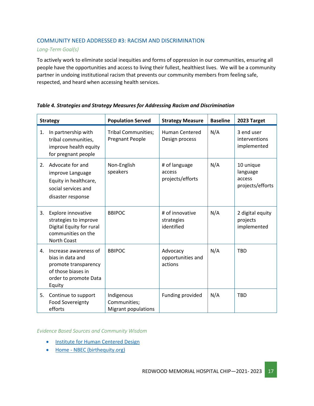#### COMMUNITY NEED ADDRESSED #3: RACISM AND DISCRIMINATION

#### *Long-Term Goal(s)*

To actively work to eliminate social inequities and forms of oppression in our communities, ensuring all people have the opportunities and access to living their fullest, healthiest lives. We will be a community partner in undoing institutional racism that prevents our community members from feeling safe, respected, and heard when accessing health services.

| <b>Strategy</b>                                                                                                                  | <b>Population Served</b>                             | <b>Strategy Measure</b>                     | <b>Baseline</b> | 2023 Target                                         |
|----------------------------------------------------------------------------------------------------------------------------------|------------------------------------------------------|---------------------------------------------|-----------------|-----------------------------------------------------|
| In partnership with<br>1.<br>tribal communities,<br>improve health equity<br>for pregnant people                                 | <b>Tribal Communities;</b><br><b>Pregnant People</b> | <b>Human Centered</b><br>Design process     | N/A             | 3 end user<br>interventions<br>implemented          |
| Advocate for and<br>2.<br>improve Language<br>Equity in healthcare,<br>social services and<br>disaster response                  | Non-English<br>speakers                              | # of language<br>access<br>projects/efforts | N/A             | 10 unique<br>language<br>access<br>projects/efforts |
| 3.<br>Explore innovative<br>strategies to improve<br>Digital Equity for rural<br>communities on the<br>North Coast               | <b>BBIPOC</b>                                        | # of innovative<br>strategies<br>identified | N/A             | 2 digital equity<br>projects<br>implemented         |
| Increase awareness of<br>4.<br>bias in data and<br>promote transparency<br>of those biases in<br>order to promote Data<br>Equity | <b>BBIPOC</b>                                        | Advocacy<br>opportunities and<br>actions    | N/A             | <b>TBD</b>                                          |
| 5.<br>Continue to support<br><b>Food Sovereignty</b><br>efforts                                                                  | Indigenous<br>Communities;<br>Migrant populations    | Funding provided                            | N/A             | <b>TBD</b>                                          |

#### *Table 4. Strategies and Strategy Measures for Addressing Racism and Discrimination*

*Evidence Based Sources and Community Wisdom*

- [Institute for Human Centered Design](https://humancentereddesign.org/)
- Home [NBEC \(birthequity.org\)](https://birthequity.org/)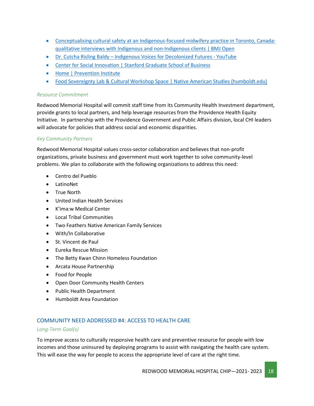- Conceptualising [cultural safety at an Indigenous-focused midwifery practice in Toronto, Canada:](https://bmjopen.bmj.com/content/10/9/e038168)  [qualitative interviews with Indigenous and non-Indigenous clients | BMJ Open](https://bmjopen.bmj.com/content/10/9/e038168)
- Dr. Cutcha Risling Baldy [Indigenous Voices for Decolonized Futures -](https://www.youtube.com/watch?v=QQfrQyb4yw4) YouTube
- [Center for Social Innovation | Stanford Graduate School of Business](https://www.gsb.stanford.edu/faculty-research/centers-initiatives/csi)
- [Home | Prevention Institute](https://www.preventioninstitute.org/)
- [Food Sovereignty Lab & Cultural Workshop Space | Native American Studies \(humboldt.edu\)](https://nasp.humboldt.edu/fsl)

#### *Resource Commitment*

Redwood Memorial Hospital will commit staff time from its Community Health Investment department, provide grants to local partners, and help leverage resources from the Providence Health Equity Initiative. In partnership with the Providence Government and Public Affairs division, local CHI leaders will advocate for policies that address social and economic disparities.

#### *Key Community Partners*

Redwood Memorial Hospital values cross-sector collaboration and believes that non-profit organizations, private business and government must work together to solve community-level problems. We plan to collaborate with the following organizations to address this need:

- Centro del Pueblo
- LatinoNet
- True North
- United Indian Health Services
- K'ima:w Medical Center
- Local Tribal Communities
- Two Feathers Native American Family Services
- With/In Collaborative
- St. Vincent de Paul
- Eureka Rescue Mission
- The Betty Kwan Chinn Homeless Foundation
- Arcata House Partnership
- Food for People
- Open Door Community Health Centers
- Public Health Department
- Humboldt Area Foundation

#### COMMUNITY NEED ADDRESSED #4: ACCESS TO HEALTH CARE

#### *Long-Term Goal(s)*

To improve access to culturally responsive health care and preventive resource for people with low incomes and those uninsured by deploying programs to assist with navigating the health care system. This will ease the way for people to access the appropriate level of care at the right time.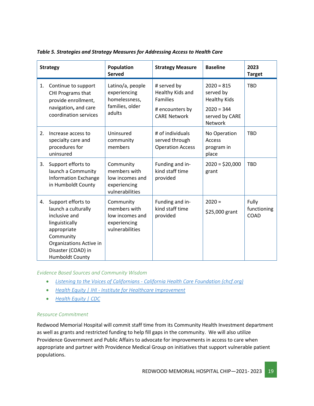| <b>Strategy</b> |                                                                                                                                                                                     | Population<br><b>Served</b>                                                     | <b>Strategy Measure</b>                                                                      | <b>Baseline</b>                                                                                      | 2023<br><b>Target</b>        |
|-----------------|-------------------------------------------------------------------------------------------------------------------------------------------------------------------------------------|---------------------------------------------------------------------------------|----------------------------------------------------------------------------------------------|------------------------------------------------------------------------------------------------------|------------------------------|
| 1.              | Continue to support<br>CHI Programs that<br>provide enrollment,<br>navigation, and care<br>coordination services                                                                    | Latino/a, people<br>experiencing<br>homelessness,<br>families, older<br>adults  | # served by<br>Healthy Kids and<br><b>Families</b><br># encounters by<br><b>CARE Network</b> | $2020 = 815$<br>served by<br><b>Healthy Kids</b><br>$2020 = 344$<br>served by CARE<br><b>Network</b> | <b>TBD</b>                   |
| 2.              | Increase access to<br>specialty care and<br>procedures for<br>uninsured                                                                                                             | Uninsured<br>community<br>members                                               | # of individuals<br>served through<br><b>Operation Access</b>                                | No Operation<br>Access<br>program in<br>place                                                        | <b>TBD</b>                   |
| 3.              | Support efforts to<br>launch a Community<br><b>Information Exchange</b><br>in Humboldt County                                                                                       | Community<br>members with<br>low incomes and<br>experiencing<br>vulnerabilities | Funding and in-<br>kind staff time<br>provided                                               | $2020 = $20,000$<br>grant                                                                            | <b>TBD</b>                   |
| 4.              | Support efforts to<br>launch a culturally<br>inclusive and<br>linguistically<br>appropriate<br>Community<br>Organizations Active in<br>Disaster (COAD) in<br><b>Humboldt County</b> | Community<br>members with<br>low incomes and<br>experiencing<br>vulnerabilities | Funding and in-<br>kind staff time<br>provided                                               | $2020 =$<br>\$25,000 grant                                                                           | Fully<br>functioning<br>COAD |

*Table 5. Strategies and Strategy Measures for Addressing Access to Health Care* 

*Evidence Based Sources and Community Wisdom*

- *Listening to the Voices of Californians - [California Health Care Foundation \(chcf.org\)](https://www.chcf.org/collection/listening-californians/)*
- *Health Equity | IHI - [Institute for Healthcare Improvement](http://www.ihi.org/Topics/Health-Equity/Pages/default.aspx)*
- *[Health Equity | CDC](https://www.cdc.gov/chronicdisease/healthequity/index.htm)*

#### *Resource Commitment*

Redwood Memorial Hospital will commit staff time from its Community Health Investment department as well as grants and restricted funding to help fill gaps in the community. We will also utilize Providence Government and Public Affairs to advocate for improvements in access to care when appropriate and partner with Providence Medical Group on initiatives that support vulnerable patient populations.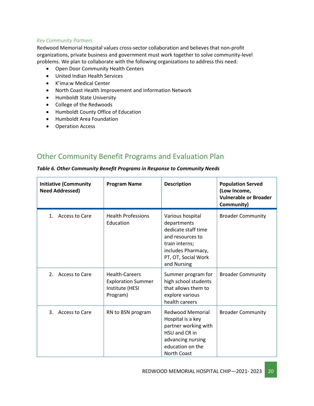#### *Key Community Partners*

Redwood Memorial Hospital values cross-sector collaboration and believes that non-profit organizations, private business and government must work together to solve community-level problems. We plan to collaborate with the following organizations to address this need:

- Open Door Community Health Centers
- United Indian Health Services
- K'ima:w Medical Center
- North Coast Health Improvement and Information Network
- Humboldt State University
- College of the Redwoods
- Humboldt County Office of Education
- Humboldt Area Foundation
- Operation Access

## <span id="page-19-0"></span>Other Community Benefit Programs and Evaluation Plan

| <b>Initiative (Community</b><br><b>Need Addressed)</b> | <b>Program Name</b>                                                               | <b>Description</b>                                                                                                                                       | <b>Population Served</b><br>(Low Income,<br><b>Vulnerable or Broader</b><br>Community) |
|--------------------------------------------------------|-----------------------------------------------------------------------------------|----------------------------------------------------------------------------------------------------------------------------------------------------------|----------------------------------------------------------------------------------------|
| Access to Care<br>$\mathbf{1}$ .                       | <b>Health Professions</b><br>Education                                            | Various hospital<br>departments<br>dedicate staff time<br>and resources to<br>train interns;<br>includes Pharmacy,<br>PT, OT, Social Work<br>and Nursing | <b>Broader Community</b>                                                               |
| 2.<br><b>Access to Care</b>                            | <b>Health-Careers</b><br><b>Exploration Summer</b><br>Institute (HESI<br>Program) | Summer program for<br>high school students<br>that allows them to<br>explore various<br>health careers                                                   | <b>Broader Community</b>                                                               |
| 3.<br>Access to Care                                   | RN to BSN program                                                                 | <b>Redwood Memorial</b><br>Hospital is a key<br>partner working with<br>HSU and CR in<br>advancing nursing<br>education on the<br>North Coast            | <b>Broader Community</b>                                                               |

*Table 6. Other Community Benefit Programs in Response to Community Needs*